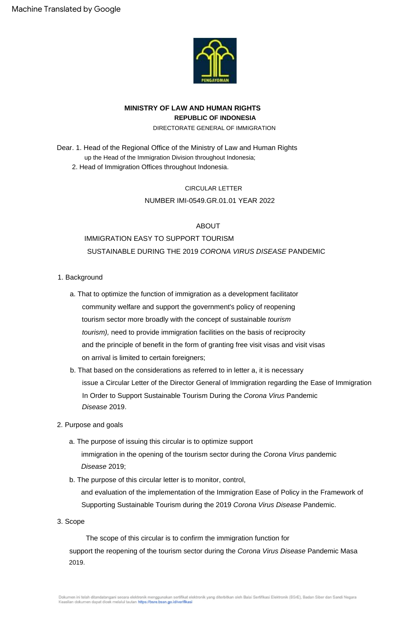

## **MINISTRY OF LAW AND HUMAN RIGHTS REPUBLIC OF INDONESIA**

DIRECTORATE GENERAL OF IMMIGRATION

up the Head of the Immigration Division throughout Indonesia; 2. Head of Immigration Offices throughout Indonesia. Dear. 1. Head of the Regional Office of the Ministry of Law and Human Rights

## CIRCULAR LETTER

## NUMBER IMI-0549.GR.01.01 YEAR 2022

## ABOUT

# IMMIGRATION EASY TO SUPPORT TOURISM SUSTAINABLE DURING THE 2019 CORONA VIRUS DISEASE PANDEMIC

## 1. Background

- and the principle of benefit in the form of granting free visit visas and visit visas community welfare and support the government's policy of reopening tourism), need to provide immigration facilities on the basis of reciprocity on arrival is limited to certain foreigners; tourism sector more broadly with the concept of sustainable tourism a. That to optimize the function of immigration as a development facilitator
- b. That based on the considerations as referred to in letter a, it is necessary In Order to Support Sustainable Tourism During the Corona Virus Pandemic issue a Circular Letter of the Director General of Immigration regarding the Ease of Immigration Disease 2019.

## 2. Purpose and goals

- Disease 2019; immigration in the opening of the tourism sector during the Corona Virus pandemic a. The purpose of issuing this circular is to optimize support
- and evaluation of the implementation of the Immigration Ease of Policy in the Framework of Supporting Sustainable Tourism during the 2019 Corona Virus Disease Pandemic. b. The purpose of this circular letter is to monitor, control,
- 3. Scope

support the reopening of the tourism sector during the Corona Virus Disease Pandemic Masa 2019. The scope of this circular is to confirm the immigration function for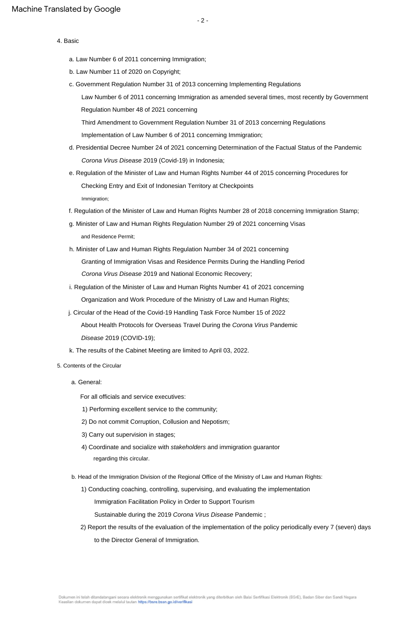### 4. Basic

- a. Law Number 6 of 2011 concerning Immigration;
- b. Law Number 11 of 2020 on Copyright;
- c. Government Regulation Number 31 of 2013 concerning Implementing Regulations

Law Number 6 of 2011 concerning Immigration as amended several times, most recently by Government Regulation Number 48 of 2021 concerning

Implementation of Law Number 6 of 2011 concerning Immigration; Third Amendment to Government Regulation Number 31 of 2013 concerning Regulations

- Corona Virus Disease 2019 (Covid-19) in Indonesia; d. Presidential Decree Number 24 of 2021 concerning Determination of the Factual Status of the Pandemic
- Immigration; e. Regulation of the Minister of Law and Human Rights Number 44 of 2015 concerning Procedures for Checking Entry and Exit of Indonesian Territory at Checkpoints
- f. Regulation of the Minister of Law and Human Rights Number 28 of 2018 concerning Immigration Stamp;
- g. Minister of Law and Human Rights Regulation Number 29 of 2021 concerning Visas and Residence Permit;
- Granting of Immigration Visas and Residence Permits During the Handling Period h. Minister of Law and Human Rights Regulation Number 34 of 2021 concerning Corona Virus Disease 2019 and National Economic Recovery;
- i. Regulation of the Minister of Law and Human Rights Number 41 of 2021 concerning Organization and Work Procedure of the Ministry of Law and Human Rights;
- Disease 2019 (COVID-19); j. Circular of the Head of the Covid-19 Handling Task Force Number 15 of 2022 About Health Protocols for Overseas Travel During the Corona Virus Pandemic
- k. The results of the Cabinet Meeting are limited to April 03, 2022.
- 5. Contents of the Circular
	- a. General:

For all officials and service executives:

- 1) Performing excellent service to the community;
- 2) Do not commit Corruption, Collusion and Nepotism;
- 3) Carry out supervision in stages;
- 4) Coordinate and socialize with stakeholders and immigration guarantor regarding this circular.
- b. Head of the Immigration Division of the Regional Office of the Ministry of Law and Human Rights:
	- 1) Conducting coaching, controlling, supervising, and evaluating the implementation

Immigration Facilitation Policy in Order to Support Tourism

Sustainable during the 2019 Corona Virus Disease Pandemic ;

2) Report the results of the evaluation of the implementation of the policy periodically every 7 (seven) days to the Director General of Immigration.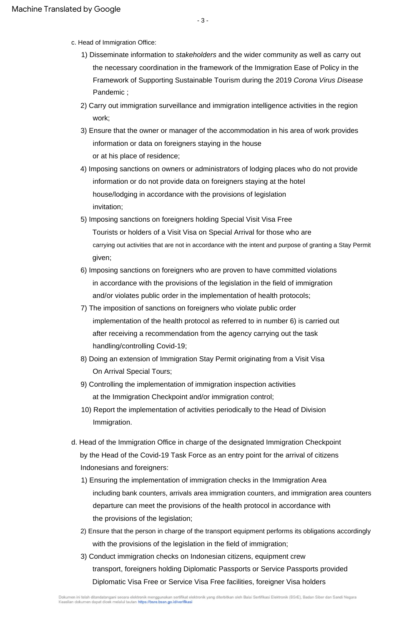- c. Head of Immigration Office:
	- 1) Disseminate information to *stakeholders* and the wider community as well as carry out the necessary coordination in the framework of the Immigration Ease of Policy in the Framework of Supporting Sustainable Tourism during the 2019 Corona Virus Disease Pandemic ;
	- work; 2) Carry out immigration surveillance and immigration intelligence activities in the region
	- or at his place of residence; 3) Ensure that the owner or manager of the accommodation in his area of work provides information or data on foreigners staying in the house
	- invitation; 4) Imposing sanctions on owners or administrators of lodging places who do not provide information or do not provide data on foreigners staying at the hotel house/lodging in accordance with the provisions of legislation
	- given; Tourists or holders of a Visit Visa on Special Arrival for those who are 5) Imposing sanctions on foreigners holding Special Visit Visa Free carrying out activities that are not in accordance with the intent and purpose of granting a Stay Permit
	- and/or violates public order in the implementation of health protocols; in accordance with the provisions of the legislation in the field of immigration 6) Imposing sanctions on foreigners who are proven to have committed violations
	- implementation of the health protocol as referred to in number 6) is carried out handling/controlling Covid-19; after receiving a recommendation from the agency carrying out the task 7) The imposition of sanctions on foreigners who violate public order
	- On Arrival Special Tours; 8) Doing an extension of Immigration Stay Permit originating from a Visit Visa
	- at the Immigration Checkpoint and/or immigration control; 9) Controlling the implementation of immigration inspection activities
	- 10) Report the implementation of activities periodically to the Head of Division Immigration.
- d. Head of the Immigration Office in charge of the designated Immigration Checkpoint Indonesians and foreigners: by the Head of the Covid-19 Task Force as an entry point for the arrival of citizens
	- 1) Ensuring the implementation of immigration checks in the Immigration Area including bank counters, arrivals area immigration counters, and immigration area counters the provisions of the legislation; departure can meet the provisions of the health protocol in accordance with
	- 2) Ensure that the person in charge of the transport equipment performs its obligations accordingly with the provisions of the legislation in the field of immigration;
	- 3) Conduct immigration checks on Indonesian citizens, equipment crew Diplomatic Visa Free or Service Visa Free facilities, foreigner Visa holders transport, foreigners holding Diplomatic Passports or Service Passports provided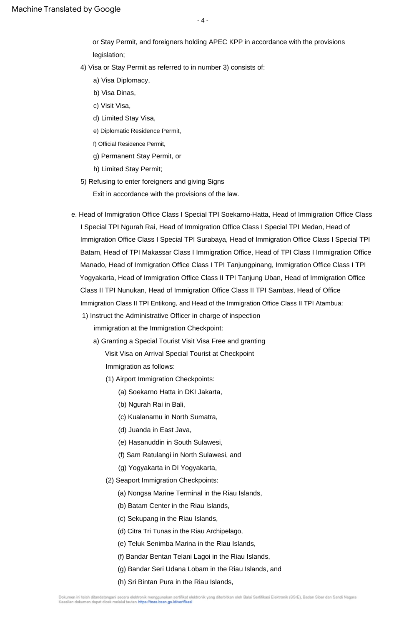$-4-$ 

legislation; or Stay Permit, and foreigners holding APEC KPP in accordance with the provisions

- 4) Visa or Stay Permit as referred to in number 3) consists of:
	- a) Visa Diplomacy,
	- b) Visa Dinas,
	- c) Visit Visa,
	- d) Limited Stay Visa,
	- e) Diplomatic Residence Permit,
	- f) Official Residence Permit,
	- g) Permanent Stay Permit, or
	- h) Limited Stay Permit;
- 5) Refusing to enter foreigners and giving Signs

Exit in accordance with the provisions of the law.

- Class II TPI Nunukan, Head of Immigration Office Class II TPI Sambas, Head of Office Manado, Head of Immigration Office Class I TPI Tanjungpinang, Immigration Office Class I TPI Batam, Head of TPI Makassar Class I Immigration Office, Head of TPI Class I Immigration Office Immigration Class II TPI Entikong, and Head of the Immigration Office Class II TPI Atambua: Yogyakarta, Head of Immigration Office Class II TPI Tanjung Uban, Head of Immigration Office e. Head of Immigration Office Class I Special TPI Soekarno-Hatta, Head of Immigration Office Class I Special TPI Ngurah Rai, Head of Immigration Office Class I Special TPI Medan, Head of Immigration Office Class I Special TPI Surabaya, Head of Immigration Office Class I Special TPI
	- 1) Instruct the Administrative Officer in charge of inspection immigration at the Immigration Checkpoint:
		- a) Granting a Special Tourist Visit Visa Free and granting Immigration as follows: Visit Visa on Arrival Special Tourist at Checkpoint
			- (1) Airport Immigration Checkpoints:
				- (a) Soekarno Hatta in DKI Jakarta,
				- (b) Ngurah Rai in Bali,
				- (c) Kualanamu in North Sumatra,
				- (d) Juanda in East Java,
				- (e) Hasanuddin in South Sulawesi,
				- (f) Sam Ratulangi in North Sulawesi, and
				- (g) Yogyakarta in DI Yogyakarta,
			- (2) Seaport Immigration Checkpoints:
				- (a) Nongsa Marine Terminal in the Riau Islands,
				- (b) Batam Center in the Riau Islands,
				- (c) Sekupang in the Riau Islands,
				- (d) Citra Tri Tunas in the Riau Archipelago,
				- (e) Teluk Senimba Marina in the Riau Islands,
				- (f) Bandar Bentan Telani Lagoi in the Riau Islands,
				- (g) Bandar Seri Udana Lobam in the Riau Islands, and
				- (h) Sri Bintan Pura in the Riau Islands,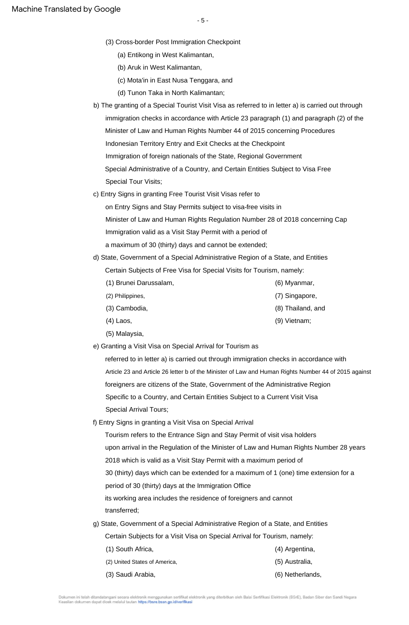- (3) Cross-border Post Immigration Checkpoint
	- (a) Entikong in West Kalimantan,
	- (b) Aruk in West Kalimantan,
	- (c) Mota'in in East Nusa Tenggara, and
	- (d) Tunon Taka in North Kalimantan;
- Special Administrative of a Country, and Certain Entities Subject to Visa Free Indonesian Territory Entry and Exit Checks at the Checkpoint b) The granting of a Special Tourist Visit Visa as referred to in letter a) is carried out through immigration checks in accordance with Article 23 paragraph (1) and paragraph (2) of the Minister of Law and Human Rights Number 44 of 2015 concerning Procedures Special Tour Visits; Immigration of foreign nationals of the State, Regional Government
- c) Entry Signs in granting Free Tourist Visit Visas refer to
	- on Entry Signs and Stay Permits subject to visa-free visits in

Minister of Law and Human Rights Regulation Number 28 of 2018 concerning Cap Immigration valid as a Visit Stay Permit with a period of

- a maximum of 30 (thirty) days and cannot be extended;
- d) State, Government of a Special Administrative Region of a State, and Entities Certain Subjects of Free Visa for Special Visits for Tourism, namely:

| (1) Brunei Darussalam, | (6) Myanmar,      |
|------------------------|-------------------|
| (2) Philippines,       | (7) Singapore,    |
| (3) Cambodia,          | (8) Thailand, and |
| $(4)$ Laos,            | $(9)$ Vietnam;    |

- (5) Malaysia,
- e) Granting a Visit Visa on Special Arrival for Tourism as

foreigners are citizens of the State, Government of the Administrative Region Specific to a Country, and Certain Entities Subject to a Current Visit Visa Article 23 and Article 26 letter b of the Minister of Law and Human Rights Number 44 of 2015 against referred to in letter a) is carried out through immigration checks in accordance with Special Arrival Tours;

f) Entry Signs in granting a Visit Visa on Special Arrival

2018 which is valid as a Visit Stay Permit with a maximum period of transferred; Tourism refers to the Entrance Sign and Stay Permit of visit visa holders its working area includes the residence of foreigners and cannot 30 (thirty) days which can be extended for a maximum of 1 (one) time extension for a period of 30 (thirty) days at the Immigration Office upon arrival in the Regulation of the Minister of Law and Human Rights Number 28 years

g) State, Government of a Special Administrative Region of a State, and Entities

Certain Subjects for a Visit Visa on Special Arrival for Tourism, namely:

| (1) South Africa,             | (4) Argentina,   |
|-------------------------------|------------------|
| (2) United States of America, | (5) Australia,   |
| (3) Saudi Arabia,             | (6) Netherlands, |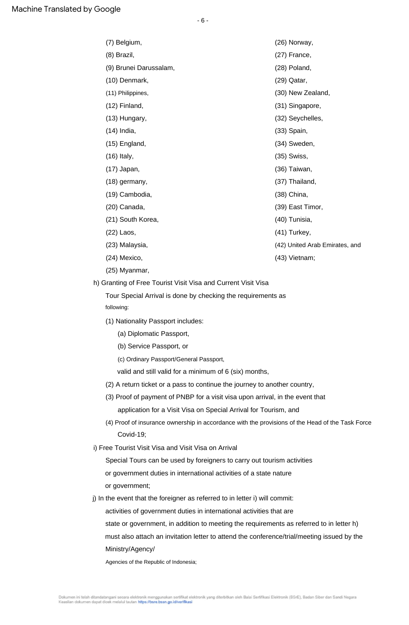| (7) Belgium,           | (26) Norway,                   |
|------------------------|--------------------------------|
| (8) Brazil,            | (27) France,                   |
| (9) Brunei Darussalam, | (28) Poland,                   |
| (10) Denmark,          | (29) Qatar,                    |
| (11) Philippines,      | (30) New Zealand,              |
| $(12)$ Finland,        | (31) Singapore,                |
| (13) Hungary,          | (32) Seychelles,               |
| $(14)$ India,          | (33) Spain,                    |
| (15) England,          | (34) Sweden,                   |
| $(16)$ Italy,          | (35) Swiss,                    |
| $(17)$ Japan,          | (36) Taiwan,                   |
| $(18)$ germany,        | (37) Thailand,                 |
| (19) Cambodia,         | (38) China,                    |
| (20) Canada,           | (39) East Timor,               |
| (21) South Korea,      | (40) Tunisia,                  |
| $(22)$ Laos,           | (41) Turkey,                   |
| (23) Malaysia,         | (42) United Arab Emirates, and |
| (24) Mexico,           | (43) Vietnam;                  |
|                        |                                |

(25) Myanmar,

h) Granting of Free Tourist Visit Visa and Current Visit Visa

following: Tour Special Arrival is done by checking the requirements as

- (1) Nationality Passport includes:
	- (a) Diplomatic Passport,
	- (b) Service Passport, or
	- (c) Ordinary Passport/General Passport,
	- valid and still valid for a minimum of 6 (six) months,
- (2) A return ticket or a pass to continue the journey to another country,
- (3) Proof of payment of PNBP for a visit visa upon arrival, in the event that application for a Visit Visa on Special Arrival for Tourism, and
- (4) Proof of insurance ownership in accordance with the provisions of the Head of the Task Force Covid-19;
- i) Free Tourist Visit Visa and Visit Visa on Arrival

Special Tours can be used by foreigners to carry out tourism activities

or government; or government duties in international activities of a state nature

j) In the event that the foreigner as referred to in letter i) will commit:

activities of government duties in international activities that are

state or government, in addition to meeting the requirements as referred to in letter h)

must also attach an invitation letter to attend the conference/trial/meeting issued by the Ministry/Agency/

Agencies of the Republic of Indonesia;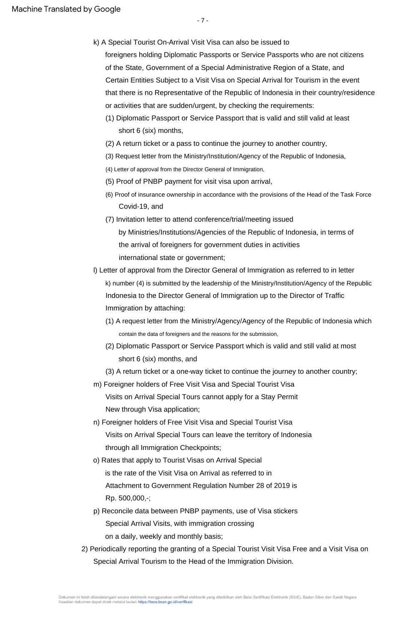- 7 -

- foreigners holding Diplomatic Passports or Service Passports who are not citizens of the State, Government of a Special Administrative Region of a State, and k) A Special Tourist On-Arrival Visit Visa can also be issued to Certain Entities Subject to a Visit Visa on Special Arrival for Tourism in the event that there is no Representative of the Republic of Indonesia in their country/residence or activities that are sudden/urgent, by checking the requirements:
	- (1) Diplomatic Passport or Service Passport that is valid and still valid at least short 6 (six) months,
	- (2) A return ticket or a pass to continue the journey to another country,
	- (3) Request letter from the Ministry/Institution/Agency of the Republic of Indonesia,
	- (4) Letter of approval from the Director General of Immigration,
	- (5) Proof of PNBP payment for visit visa upon arrival,
	- Covid-19, and (6) Proof of insurance ownership in accordance with the provisions of the Head of the Task Force
	- (7) Invitation letter to attend conference/trial/meeting issued
	- by Ministries/Institutions/Agencies of the Republic of Indonesia, in terms of international state or government; the arrival of foreigners for government duties in activities
- Indonesia to the Director General of Immigration up to the Director of Traffic l) Letter of approval from the Director General of Immigration as referred to in letter Immigration by attaching: k) number (4) is submitted by the leadership of the Ministry/Institution/Agency of the Republic
	- (1) A request letter from the Ministry/Agency/Agency of the Republic of Indonesia which contain the data of foreigners and the reasons for the submission,
	- (2) Diplomatic Passport or Service Passport which is valid and still valid at most short 6 (six) months, and
	- (3) A return ticket or a one-way ticket to continue the journey to another country;
- New through Visa application; m) Foreigner holders of Free Visit Visa and Special Tourist Visa Visits on Arrival Special Tours cannot apply for a Stay Permit
- through all Immigration Checkpoints; Visits on Arrival Special Tours can leave the territory of Indonesia n) Foreigner holders of Free Visit Visa and Special Tourist Visa
- Rp. 500,000,-; o) Rates that apply to Tourist Visas on Arrival Special Attachment to Government Regulation Number 28 of 2019 is is the rate of the Visit Visa on Arrival as referred to in
- Special Arrival Visits, with immigration crossing on a daily, weekly and monthly basis; p) Reconcile data between PNBP payments, use of Visa stickers
- 2) Periodically reporting the granting of a Special Tourist Visit Visa Free and a Visit Visa on Special Arrival Tourism to the Head of the Immigration Division.